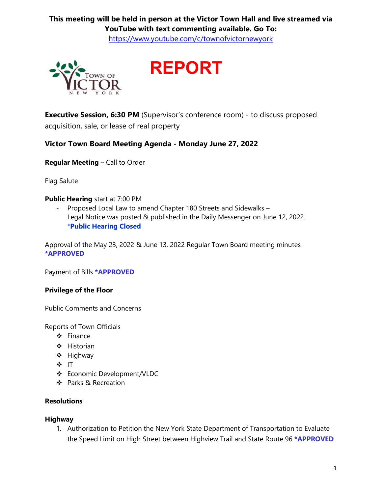# **This meeting will be held in person at the Victor Town Hall and live streamed via YouTube with text commenting available. Go To:**

<https://www.youtube.com/c/townofvictornewyork>

**REPORT**



**Executive Session, 6:30 PM** (Supervisor's conference room) - to discuss proposed acquisition, sale, or lease of real property

**Victor Town Board Meeting Agenda - Monday June 27, 2022**

**Regular Meeting** – Call to Order

Flag Salute

#### **Public Hearing** start at 7:00 PM

- Proposed Local Law to amend Chapter 180 Streets and Sidewalks – Legal Notice was posted & published in the Daily Messenger on June 12, 2022. \***Public Hearing Closed**

Approval of the May 23, 2022 & June 13, 2022 Regular Town Board meeting minutes **\*APPROVED**

Payment of Bills **\*APPROVED**

## **Privilege of the Floor**

Public Comments and Concerns

Reports of Town Officials

- ❖ Finance
- ❖ Historian
- ❖ Highway
- ❖ IT
- ❖ Economic Development/VLDC
- ❖ Parks & Recreation

## **Resolutions**

#### **Highway**

1. Authorization to Petition the New York State Department of Transportation to Evaluate the Speed Limit on High Street between Highview Trail and State Route 96 **\*APPROVED**